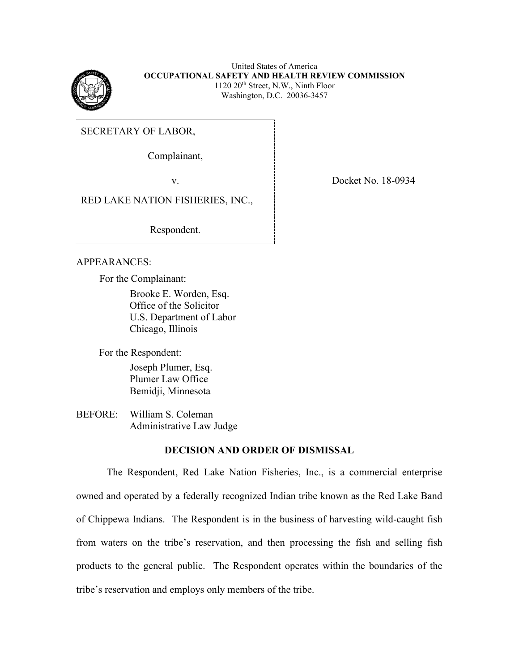

United States of America **OCCUPATIONAL SAFETY AND HEALTH REVIEW COMMISSION** 1120 20th Street, N.W., Ninth Floor Washington, D.C. 20036-3457

SECRETARY OF LABOR,

Complainant,

RED LAKE NATION FISHERIES, INC.,

Respondent.

## APPEARANCES:

For the Complainant:

Brooke E. Worden, Esq. Office of the Solicitor U.S. Department of Labor Chicago, Illinois

For the Respondent:

Joseph Plumer, Esq. Plumer Law Office Bemidji, Minnesota

BEFORE: William S. Coleman Administrative Law Judge

## **DECISION AND ORDER OF DISMISSAL**

The Respondent, Red Lake Nation Fisheries, Inc., is a commercial enterprise owned and operated by a federally recognized Indian tribe known as the Red Lake Band of Chippewa Indians. The Respondent is in the business of harvesting wild-caught fish from waters on the tribe's reservation, and then processing the fish and selling fish products to the general public. The Respondent operates within the boundaries of the tribe's reservation and employs only members of the tribe.

v. Docket No. 18-0934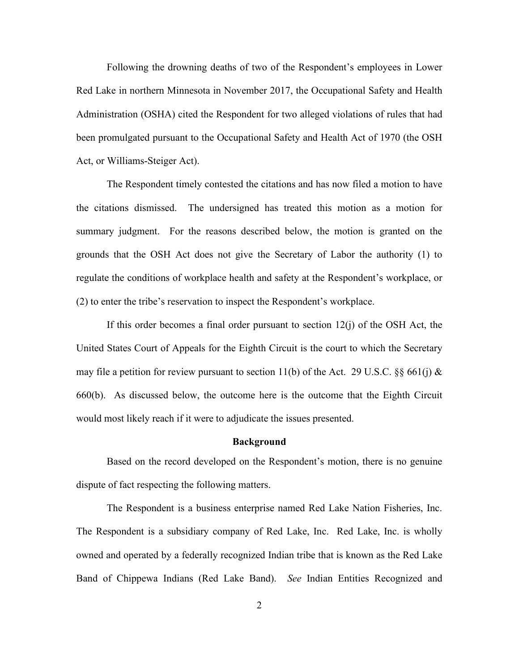Following the drowning deaths of two of the Respondent's employees in Lower Red Lake in northern Minnesota in November 2017, the Occupational Safety and Health Administration (OSHA) cited the Respondent for two alleged violations of rules that had been promulgated pursuant to the Occupational Safety and Health Act of 1970 (the OSH Act, or Williams-Steiger Act).

The Respondent timely contested the citations and has now filed a motion to have the citations dismissed. The undersigned has treated this motion as a motion for summary judgment. For the reasons described below, the motion is granted on the grounds that the OSH Act does not give the Secretary of Labor the authority (1) to regulate the conditions of workplace health and safety at the Respondent's workplace, or (2) to enter the tribe's reservation to inspect the Respondent's workplace.

If this order becomes a final order pursuant to section  $12(i)$  of the OSH Act, the United States Court of Appeals for the Eighth Circuit is the court to which the Secretary may file a petition for review pursuant to section 11(b) of the Act. 29 U.S.C.  $\S$  661(j) & 660(b). As discussed below, the outcome here is the outcome that the Eighth Circuit would most likely reach if it were to adjudicate the issues presented.

#### **Background**

Based on the record developed on the Respondent's motion, there is no genuine dispute of fact respecting the following matters.

The Respondent is a business enterprise named Red Lake Nation Fisheries, Inc. The Respondent is a subsidiary company of Red Lake, Inc. Red Lake, Inc. is wholly owned and operated by a federally recognized Indian tribe that is known as the Red Lake Band of Chippewa Indians (Red Lake Band). *See* Indian Entities Recognized and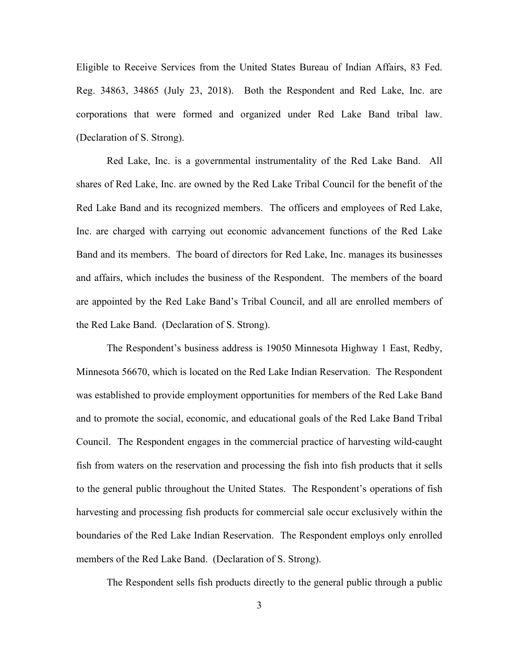Eligible to Receive Services from the United States Bureau of Indian Affairs, 83 Fed. Reg. 34863, 34865 (July 23, 2018). Both the Respondent and Red Lake, Inc. are corporations that were formed and organized under Red Lake Band tribal law. (Declaration of S. Strong).

Red Lake, Inc. is a governmental instrumentality of the Red Lake Band. All shares of Red Lake, Inc. are owned by the Red Lake Tribal Council for the benefit of the Red Lake Band and its recognized members. The officers and employees of Red Lake, Inc. are charged with carrying out economic advancement functions of the Red Lake Band and its members. The board of directors for Red Lake, Inc. manages its businesses and affairs, which includes the business of the Respondent. The members of the board are appointed by the Red Lake Band's Tribal Council, and all are enrolled members of the Red Lake Band. (Declaration of S. Strong).

The Respondent's business address is 19050 Minnesota Highway 1 East, Redby, Minnesota 56670, which is located on the Red Lake Indian Reservation. The Respondent was established to provide employment opportunities for members of the Red Lake Band and to promote the social, economic, and educational goals of the Red Lake Band Tribal Council. The Respondent engages in the commercial practice of harvesting wild-caught fish from waters on the reservation and processing the fish into fish products that it sells to the general public throughout the United States. The Respondent's operations of fish harvesting and processing fish products for commercial sale occur exclusively within the boundaries of the Red Lake Indian Reservation. The Respondent employs only enrolled members of the Red Lake Band. (Declaration of S. Strong).

The Respondent sells fish products directly to the general public through a public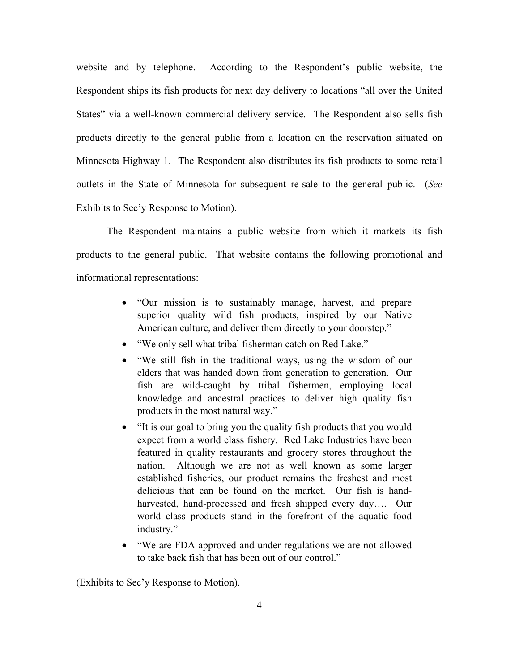website and by telephone. According to the Respondent's public website, the Respondent ships its fish products for next day delivery to locations "all over the United States" via a well-known commercial delivery service. The Respondent also sells fish products directly to the general public from a location on the reservation situated on Minnesota Highway 1. The Respondent also distributes its fish products to some retail outlets in the State of Minnesota for subsequent re-sale to the general public. (*See* Exhibits to Sec'y Response to Motion).

The Respondent maintains a public website from which it markets its fish products to the general public. That website contains the following promotional and informational representations:

- "Our mission is to sustainably manage, harvest, and prepare superior quality wild fish products, inspired by our Native American culture, and deliver them directly to your doorstep."
- "We only sell what tribal fisherman catch on Red Lake."
- "We still fish in the traditional ways, using the wisdom of our elders that was handed down from generation to generation. Our fish are wild-caught by tribal fishermen, employing local knowledge and ancestral practices to deliver high quality fish products in the most natural way."
- "It is our goal to bring you the quality fish products that you would expect from a world class fishery. Red Lake Industries have been featured in quality restaurants and grocery stores throughout the nation. Although we are not as well known as some larger established fisheries, our product remains the freshest and most delicious that can be found on the market. Our fish is handharvested, hand-processed and fresh shipped every day…. Our world class products stand in the forefront of the aquatic food industry."
- "We are FDA approved and under regulations we are not allowed to take back fish that has been out of our control."

(Exhibits to Sec'y Response to Motion).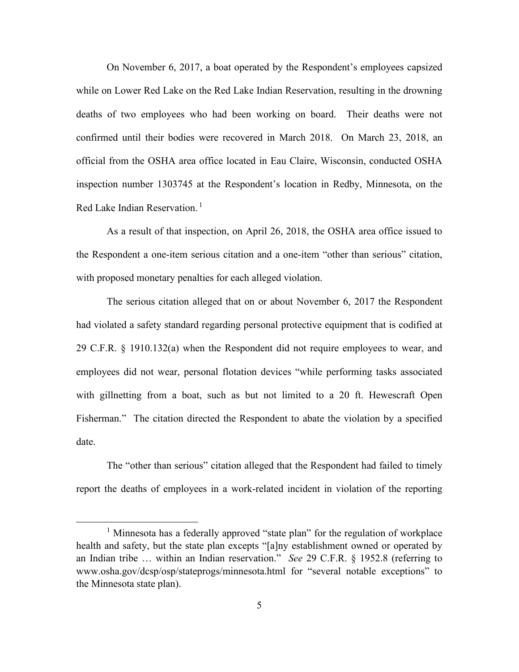On November 6, 2017, a boat operated by the Respondent's employees capsized while on Lower Red Lake on the Red Lake Indian Reservation, resulting in the drowning deaths of two employees who had been working on board. Their deaths were not confirmed until their bodies were recovered in March 2018. On March 23, 2018, an official from the OSHA area office located in Eau Claire, Wisconsin, conducted OSHA inspection number 1303745 at the Respondent's location in Redby, Minnesota, on the Red Lake Indian Reservation.<sup>[1](#page-4-0)</sup>

As a result of that inspection, on April 26, 2018, the OSHA area office issued to the Respondent a one-item serious citation and a one-item "other than serious" citation, with proposed monetary penalties for each alleged violation.

The serious citation alleged that on or about November 6, 2017 the Respondent had violated a safety standard regarding personal protective equipment that is codified at 29 C.F.R. § 1910.132(a) when the Respondent did not require employees to wear, and employees did not wear, personal flotation devices "while performing tasks associated with gillnetting from a boat, such as but not limited to a 20 ft. Hewescraft Open Fisherman." The citation directed the Respondent to abate the violation by a specified date.

The "other than serious" citation alleged that the Respondent had failed to timely report the deaths of employees in a work-related incident in violation of the reporting

<span id="page-4-0"></span><sup>&</sup>lt;sup>1</sup> Minnesota has a federally approved "state plan" for the regulation of workplace health and safety, but the state plan excepts "[a]ny establishment owned or operated by an Indian tribe … within an Indian reservation." *See* 29 C.F.R. § 1952.8 (referring to www.osha.gov/dcsp/osp/stateprogs/minnesota.html for "several notable exceptions" to the Minnesota state plan).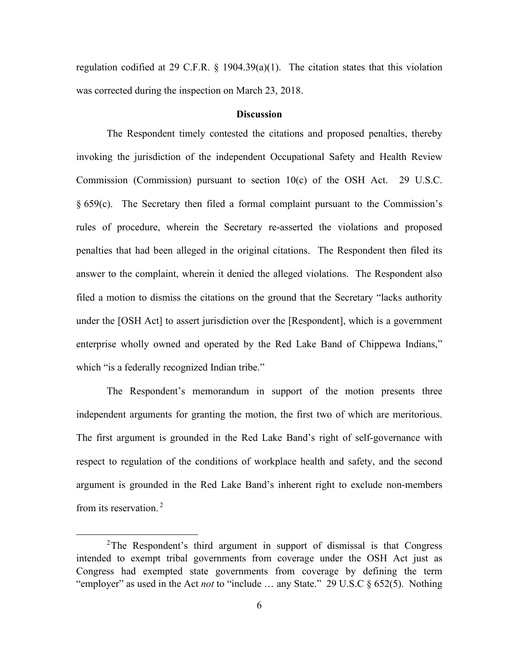regulation codified at 29 C.F.R.  $\S$  1904.39(a)(1). The citation states that this violation was corrected during the inspection on March 23, 2018.

### **Discussion**

The Respondent timely contested the citations and proposed penalties, thereby invoking the jurisdiction of the independent Occupational Safety and Health Review Commission (Commission) pursuant to section 10(c) of the OSH Act. 29 U.S.C. § 659(c). The Secretary then filed a formal complaint pursuant to the Commission's rules of procedure, wherein the Secretary re-asserted the violations and proposed penalties that had been alleged in the original citations. The Respondent then filed its answer to the complaint, wherein it denied the alleged violations. The Respondent also filed a motion to dismiss the citations on the ground that the Secretary "lacks authority under the [OSH Act] to assert jurisdiction over the [Respondent], which is a government enterprise wholly owned and operated by the Red Lake Band of Chippewa Indians," which "is a federally recognized Indian tribe."

The Respondent's memorandum in support of the motion presents three independent arguments for granting the motion, the first two of which are meritorious. The first argument is grounded in the Red Lake Band's right of self-governance with respect to regulation of the conditions of workplace health and safety, and the second argument is grounded in the Red Lake Band's inherent right to exclude non-members from its reservation.<sup>[2](#page-5-0)</sup>

<span id="page-5-0"></span><sup>&</sup>lt;sup>2</sup>The Respondent's third argument in support of dismissal is that Congress intended to exempt tribal governments from coverage under the OSH Act just as Congress had exempted state governments from coverage by defining the term "employer" as used in the Act *not* to "include … any State." 29 U.S.C § 652(5). Nothing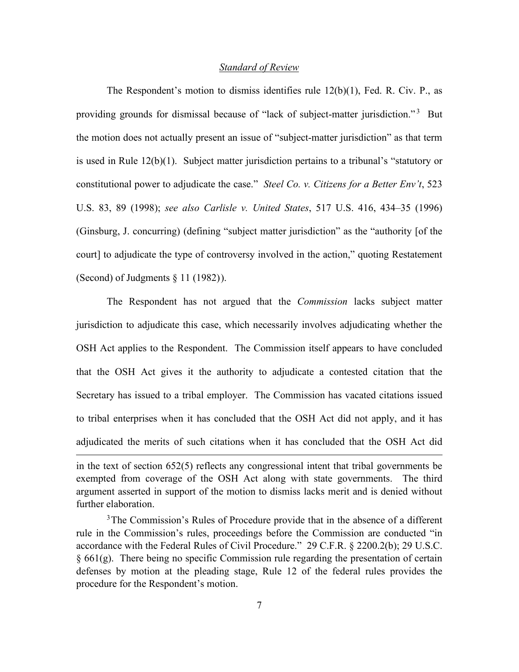#### *Standard of Review*

The Respondent's motion to dismiss identifies rule  $12(b)(1)$ , Fed. R. Civ. P., as providing grounds for dismissal because of "lack of subject-matter jurisdiction."<sup>[3](#page-6-0)</sup> But the motion does not actually present an issue of "subject-matter jurisdiction" as that term is used in Rule  $12(b)(1)$ . Subject matter jurisdiction pertains to a tribunal's "statutory or constitutional power to adjudicate the case." *Steel Co. v. Citizens for a Better Env't*, 523 U.S. 83, 89 (1998); *see also Carlisle v. United States*, 517 U.S. 416, 434–35 (1996) (Ginsburg, J. concurring) (defining "subject matter jurisdiction" as the "authority [of the court] to adjudicate the type of controversy involved in the action," quoting Restatement (Second) of Judgments  $\S 11$  (1982)).

The Respondent has not argued that the *Commission* lacks subject matter jurisdiction to adjudicate this case, which necessarily involves adjudicating whether the OSH Act applies to the Respondent. The Commission itself appears to have concluded that the OSH Act gives it the authority to adjudicate a contested citation that the Secretary has issued to a tribal employer. The Commission has vacated citations issued to tribal enterprises when it has concluded that the OSH Act did not apply, and it has adjudicated the merits of such citations when it has concluded that the OSH Act did

in the text of section 652(5) reflects any congressional intent that tribal governments be exempted from coverage of the OSH Act along with state governments. The third argument asserted in support of the motion to dismiss lacks merit and is denied without further elaboration.

<span id="page-6-0"></span><sup>3</sup>The Commission's Rules of Procedure provide that in the absence of a different rule in the Commission's rules, proceedings before the Commission are conducted "in accordance with the Federal Rules of Civil Procedure." 29 C.F.R. § 2200.2(b); 29 U.S.C. § 661(g). There being no specific Commission rule regarding the presentation of certain defenses by motion at the pleading stage, Rule 12 of the federal rules provides the procedure for the Respondent's motion.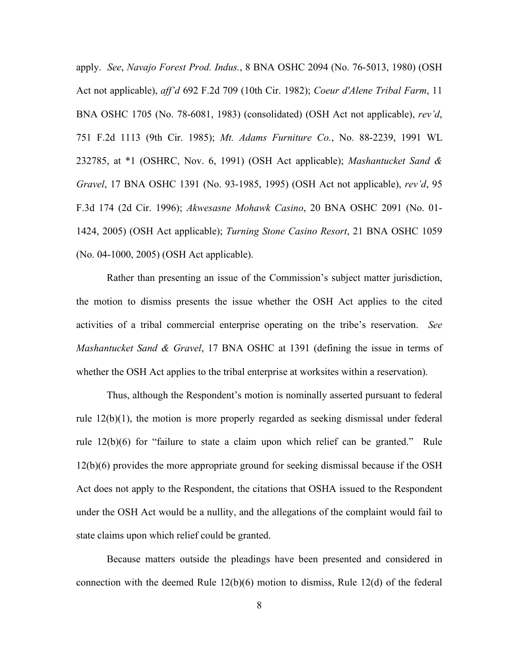apply. *See*, *Navajo Forest Prod. Indus.*, 8 BNA OSHC 2094 (No. 76-5013, 1980) (OSH Act not applicable), *aff'd* 692 F.2d 709 (10th Cir. 1982); *Coeur d'Alene Tribal Farm*, 11 BNA OSHC 1705 (No. 78-6081, 1983) (consolidated) (OSH Act not applicable), *rev'd*, 751 F.2d 1113 (9th Cir. 1985); *Mt. Adams Furniture Co.*, No. 88-2239, 1991 WL 232785, at \*1 (OSHRC, Nov. 6, 1991) (OSH Act applicable); *Mashantucket Sand & Gravel*, 17 BNA OSHC 1391 (No. 93-1985, 1995) (OSH Act not applicable), *rev'd*, 95 F.3d 174 (2d Cir. 1996); *Akwesasne Mohawk Casino*, 20 BNA OSHC 2091 (No. 01- 1424, 2005) (OSH Act applicable); *Turning Stone Casino Resort*, 21 BNA OSHC 1059 (No. 04-1000, 2005) (OSH Act applicable).

Rather than presenting an issue of the Commission's subject matter jurisdiction, the motion to dismiss presents the issue whether the OSH Act applies to the cited activities of a tribal commercial enterprise operating on the tribe's reservation. *See Mashantucket Sand & Gravel*, 17 BNA OSHC at 1391 (defining the issue in terms of whether the OSH Act applies to the tribal enterprise at worksites within a reservation).

Thus, although the Respondent's motion is nominally asserted pursuant to federal rule 12(b)(1), the motion is more properly regarded as seeking dismissal under federal rule 12(b)(6) for "failure to state a claim upon which relief can be granted." Rule 12(b)(6) provides the more appropriate ground for seeking dismissal because if the OSH Act does not apply to the Respondent, the citations that OSHA issued to the Respondent under the OSH Act would be a nullity, and the allegations of the complaint would fail to state claims upon which relief could be granted.

Because matters outside the pleadings have been presented and considered in connection with the deemed Rule  $12(b)(6)$  motion to dismiss, Rule  $12(d)$  of the federal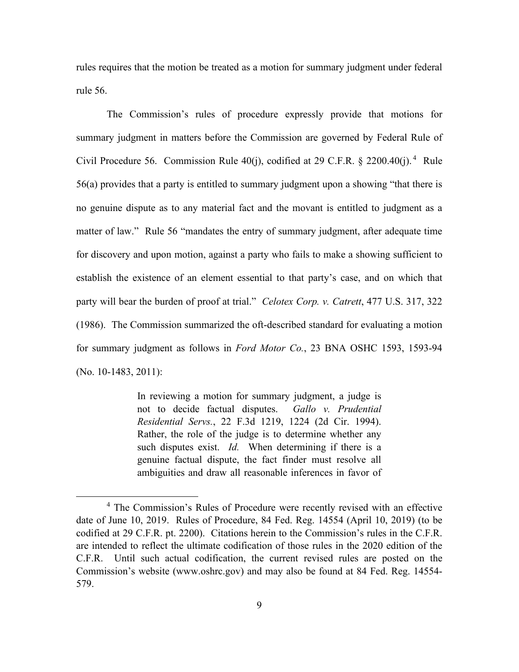rules requires that the motion be treated as a motion for summary judgment under federal rule 56.

The Commission's rules of procedure expressly provide that motions for summary judgment in matters before the Commission are governed by Federal Rule of Civil Procedure 56. Commission Rule  $40(j)$  $40(j)$ , codified at 29 C.F.R. § 2200.40 $(j)$ .<sup>4</sup> Rule 56(a) provides that a party is entitled to summary judgment upon a showing "that there is no genuine dispute as to any material fact and the movant is entitled to judgment as a matter of law." Rule 56 "mandates the entry of summary judgment, after adequate time for discovery and upon motion, against a party who fails to make a showing sufficient to establish the existence of an element essential to that party's case, and on which that party will bear the burden of proof at trial." *Celotex Corp. v. Catrett*, 477 U.S. 317, 322 (1986). The Commission summarized the oft-described standard for evaluating a motion for summary judgment as follows in *Ford Motor Co.*, 23 BNA OSHC 1593, 1593-94 (No. 10-1483, 2011):

> In reviewing a motion for summary judgment, a judge is not to decide factual disputes. *Gallo v. Prudential Residential Servs.*, 22 F.3d 1219, 1224 (2d Cir. 1994). Rather, the role of the judge is to determine whether any such disputes exist. *Id.* When determining if there is a genuine factual dispute, the fact finder must resolve all ambiguities and draw all reasonable inferences in favor of

<span id="page-8-0"></span><sup>&</sup>lt;sup>4</sup> The Commission's Rules of Procedure were recently revised with an effective date of June 10, 2019. Rules of Procedure, 84 Fed. Reg. 14554 (April 10, 2019) (to be codified at 29 C.F.R. pt. 2200). Citations herein to the Commission's rules in the C.F.R. are intended to reflect the ultimate codification of those rules in the 2020 edition of the C.F.R. Until such actual codification, the current revised rules are posted on the Commission's website (www.oshrc.gov) and may also be found at 84 Fed. Reg. 14554- 579.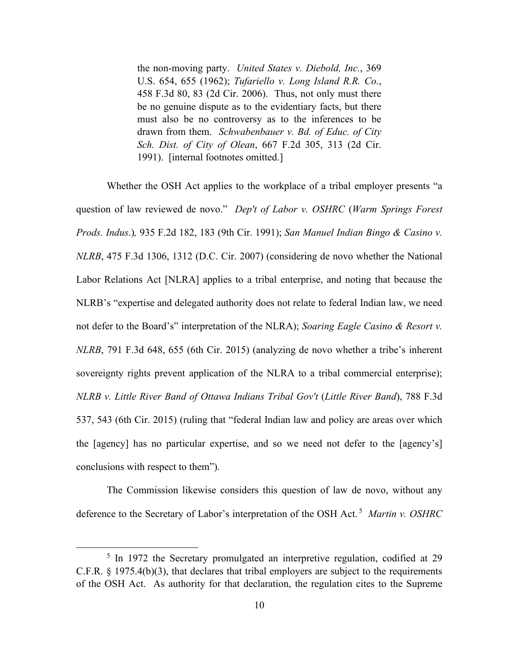the non-moving party. *United States v. Diebold, Inc.*, 369 U.S. 654, 655 (1962); *Tufariello v. Long Island R.R. Co.*, 458 F.3d 80, 83 (2d Cir. 2006). Thus, not only must there be no genuine dispute as to the evidentiary facts, but there must also be no controversy as to the inferences to be drawn from them. *Schwabenbauer v. Bd. of Educ. of City Sch. Dist. of City of Olean*, 667 F.2d 305, 313 (2d Cir. 1991). [internal footnotes omitted.]

Whether the OSH Act applies to the workplace of a tribal employer presents "a question of law reviewed de novo." *Dep't of Labor v. OSHRC* (*Warm Springs Forest Prods. Indus*.)*,* 935 F.2d 182, 183 (9th Cir. 1991); *San Manuel Indian Bingo & Casino v. NLRB*, 475 F.3d 1306, 1312 (D.C. Cir. 2007) (considering de novo whether the National Labor Relations Act [NLRA] applies to a tribal enterprise, and noting that because the NLRB's "expertise and delegated authority does not relate to federal Indian law, we need not defer to the Board's" interpretation of the NLRA); *Soaring Eagle Casino & Resort v. NLRB*, 791 F.3d 648, 655 (6th Cir. 2015) (analyzing de novo whether a tribe's inherent sovereignty rights prevent application of the NLRA to a tribal commercial enterprise); *NLRB v. Little River Band of Ottawa Indians Tribal Gov't* (*Little River Band*), 788 F.3d 537, 543 (6th Cir. 2015) (ruling that "federal Indian law and policy are areas over which the [agency] has no particular expertise, and so we need not defer to the [agency's] conclusions with respect to them").

The Commission likewise considers this question of law de novo, without any deference to the Secretary of Labor's interpretation of the OSH Act. [5](#page-9-0) *Martin v. OSHRC* 

<span id="page-9-0"></span><sup>&</sup>lt;sup>5</sup> In 1972 the Secretary promulgated an interpretive regulation, codified at 29 C.F.R. § 1975.4(b)(3), that declares that tribal employers are subject to the requirements of the OSH Act. As authority for that declaration, the regulation cites to the Supreme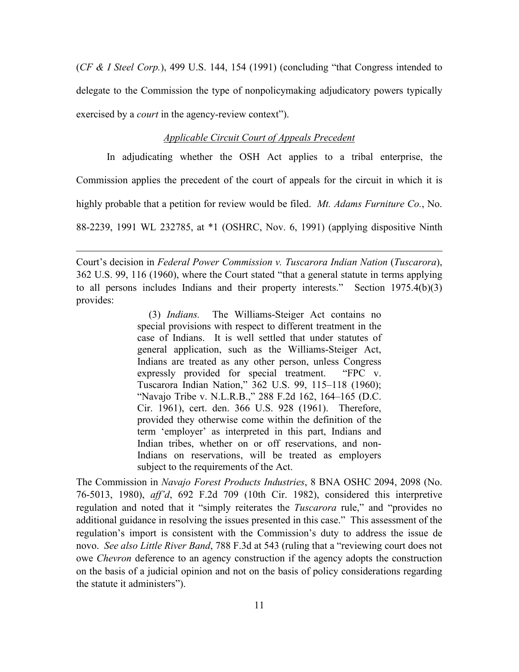(*CF & I Steel Corp.*), 499 U.S. 144, 154 (1991) (concluding "that Congress intended to delegate to the Commission the type of nonpolicymaking adjudicatory powers typically exercised by a *court* in the agency-review context").

### *Applicable Circuit Court of Appeals Precedent*

In adjudicating whether the OSH Act applies to a tribal enterprise, the

Commission applies the precedent of the court of appeals for the circuit in which it is

highly probable that a petition for review would be filed. *Mt. Adams Furniture Co.*, No.

88-2239, 1991 WL 232785, at \*1 (OSHRC, Nov. 6, 1991) (applying dispositive Ninth

Court's decision in *Federal Power Commission v. Tuscarora Indian Nation* (*Tuscarora*), 362 U.S. 99, 116 (1960), where the Court stated "that a general statute in terms applying to all persons includes Indians and their property interests." Section 1975.4(b)(3) provides:

> (3) *Indians.* The Williams-Steiger Act contains no special provisions with respect to different treatment in the case of Indians. It is well settled that under statutes of general application, such as the Williams-Steiger Act, Indians are treated as any other person, unless Congress expressly provided for special treatment. "FPC v. Tuscarora Indian Nation," 362 U.S. 99, 115–118 (1960); "Navajo Tribe v. N.L.R.B.," 288 F.2d 162, 164–165 (D.C. Cir. 1961), cert. den. 366 U.S. 928 (1961). Therefore, provided they otherwise come within the definition of the term 'employer' as interpreted in this part, Indians and Indian tribes, whether on or off reservations, and non-Indians on reservations, will be treated as employers subject to the requirements of the Act.

The Commission in *Navajo Forest Products Industries*, 8 BNA OSHC 2094, 2098 (No. 76-5013, 1980), *aff'd*, 692 F.2d 709 (10th Cir. 1982), considered this interpretive regulation and noted that it "simply reiterates the *Tuscarora* rule," and "provides no additional guidance in resolving the issues presented in this case." This assessment of the regulation's import is consistent with the Commission's duty to address the issue de novo. *See also Little River Band*, 788 F.3d at 543 (ruling that a "reviewing court does not owe *Chevron* deference to an agency construction if the agency adopts the construction on the basis of a judicial opinion and not on the basis of policy considerations regarding the statute it administers").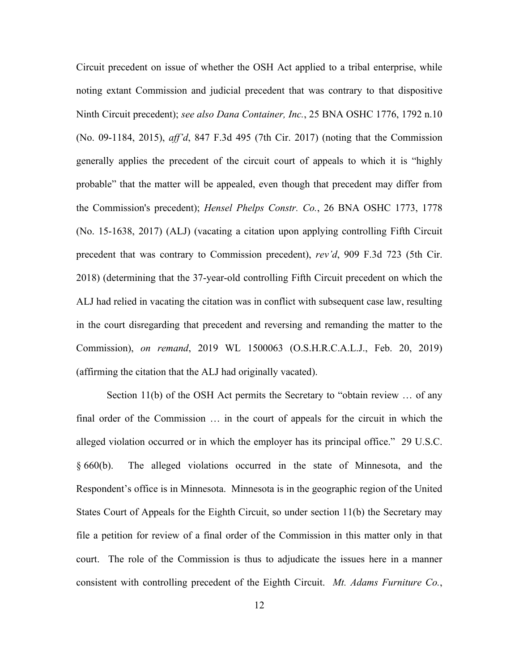Circuit precedent on issue of whether the OSH Act applied to a tribal enterprise, while noting extant Commission and judicial precedent that was contrary to that dispositive Ninth Circuit precedent); *see also Dana Container, Inc.*, 25 BNA OSHC 1776, 1792 n.10 (No. 09-1184, 2015), *aff'd*, 847 F.3d 495 (7th Cir. 2017) (noting that the Commission generally applies the precedent of the circuit court of appeals to which it is "highly probable" that the matter will be appealed, even though that precedent may differ from the Commission's precedent); *Hensel Phelps Constr. Co.*, 26 BNA OSHC 1773, 1778 (No. 15-1638, 2017) (ALJ) (vacating a citation upon applying controlling Fifth Circuit precedent that was contrary to Commission precedent), *rev'd*, 909 F.3d 723 (5th Cir. 2018) (determining that the 37-year-old controlling Fifth Circuit precedent on which the ALJ had relied in vacating the citation was in conflict with subsequent case law, resulting in the court disregarding that precedent and reversing and remanding the matter to the Commission), *on remand*, 2019 WL 1500063 (O.S.H.R.C.A.L.J., Feb. 20, 2019) (affirming the citation that the ALJ had originally vacated).

Section 11(b) of the OSH Act permits the Secretary to "obtain review … of any final order of the Commission … in the court of appeals for the circuit in which the alleged violation occurred or in which the employer has its principal office." 29 U.S.C. § 660(b). The alleged violations occurred in the state of Minnesota, and the Respondent's office is in Minnesota. Minnesota is in the geographic region of the United States Court of Appeals for the Eighth Circuit, so under section 11(b) the Secretary may file a petition for review of a final order of the Commission in this matter only in that court. The role of the Commission is thus to adjudicate the issues here in a manner consistent with controlling precedent of the Eighth Circuit. *Mt. Adams Furniture Co.*,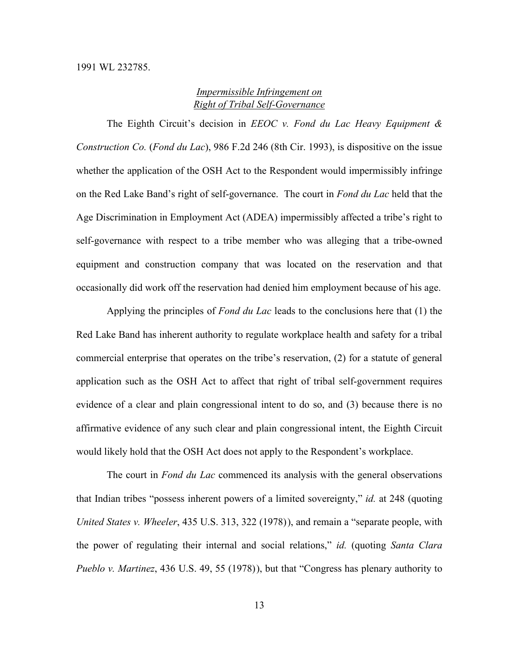# *Impermissible Infringement on Right of Tribal Self-Governance*

The Eighth Circuit's decision in *EEOC v. Fond du Lac Heavy Equipment & Construction Co.* (*Fond du Lac*), 986 F.2d 246 (8th Cir. 1993), is dispositive on the issue whether the application of the OSH Act to the Respondent would impermissibly infringe on the Red Lake Band's right of self-governance. The court in *Fond du Lac* held that the Age Discrimination in Employment Act (ADEA) impermissibly affected a tribe's right to self-governance with respect to a tribe member who was alleging that a tribe-owned equipment and construction company that was located on the reservation and that occasionally did work off the reservation had denied him employment because of his age.

Applying the principles of *Fond du Lac* leads to the conclusions here that (1) the Red Lake Band has inherent authority to regulate workplace health and safety for a tribal commercial enterprise that operates on the tribe's reservation, (2) for a statute of general application such as the OSH Act to affect that right of tribal self-government requires evidence of a clear and plain congressional intent to do so, and (3) because there is no affirmative evidence of any such clear and plain congressional intent, the Eighth Circuit would likely hold that the OSH Act does not apply to the Respondent's workplace.

The court in *Fond du Lac* commenced its analysis with the general observations that Indian tribes "possess inherent powers of a limited sovereignty," *id.* at 248 (quoting *United States v. Wheeler*, 435 U.S. 313, 322 (1978)), and remain a "separate people, with the power of regulating their internal and social relations," *id.* (quoting *Santa Clara Pueblo v. Martinez*, 436 U.S. 49, 55 (1978) ), but that "Congress has plenary authority to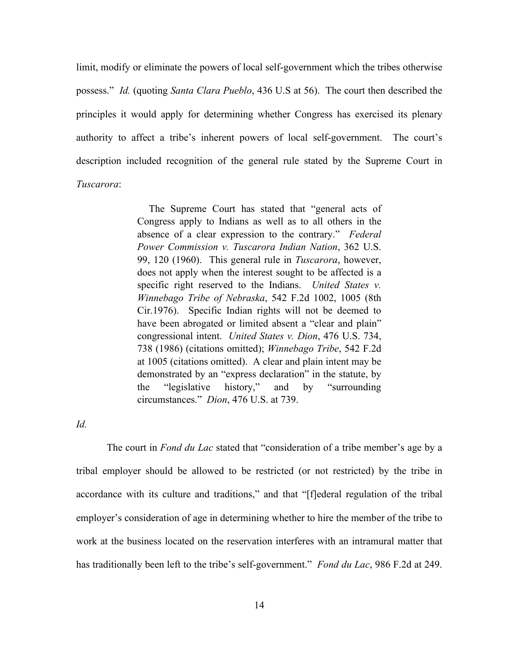limit, modify or eliminate the powers of local self-government which the tribes otherwise possess." *Id.* (quoting *Santa Clara Pueblo*, 436 U.S at 56). The court then described the principles it would apply for determining whether Congress has exercised its plenary authority to affect a tribe's inherent powers of local self-government. The court's description included recognition of the general rule stated by the Supreme Court in *Tuscarora*:

> The Supreme Court has stated that "general acts of Congress apply to Indians as well as to all others in the absence of a clear expression to the contrary." *Federal Power Commission v. Tuscarora Indian Nation*, 362 U.S. 99, 120 (1960). This general rule in *Tuscarora*, however, does not apply when the interest sought to be affected is a specific right reserved to the Indians. *United States v. Winnebago Tribe of Nebraska*, 542 F.2d 1002, 1005 (8th Cir.1976). Specific Indian rights will not be deemed to have been abrogated or limited absent a "clear and plain" congressional intent. *United States v. Dion*, 476 U.S. 734, 738 (1986) (citations omitted); *Winnebago Tribe*, 542 F.2d at 1005 (citations omitted). A clear and plain intent may be demonstrated by an "express declaration" in the statute, by the "legislative history," and by "surrounding circumstances." *Dion*, 476 U.S. at 739.

*Id.*

The court in *Fond du Lac* stated that "consideration of a tribe member's age by a tribal employer should be allowed to be restricted (or not restricted) by the tribe in accordance with its culture and traditions," and that "[f]ederal regulation of the tribal employer's consideration of age in determining whether to hire the member of the tribe to work at the business located on the reservation interferes with an intramural matter that has traditionally been left to the tribe's self-government." *Fond du Lac*, 986 F.2d at 249.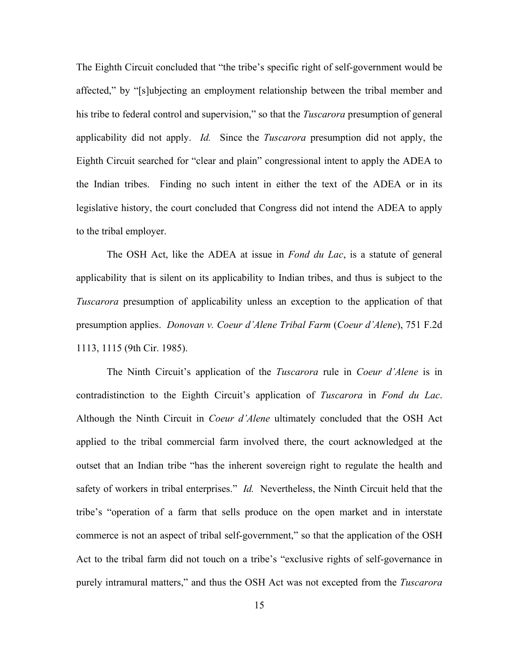The Eighth Circuit concluded that "the tribe's specific right of self-government would be affected," by "[s]ubjecting an employment relationship between the tribal member and his tribe to federal control and supervision," so that the *Tuscarora* presumption of general applicability did not apply. *Id.* Since the *Tuscarora* presumption did not apply, the Eighth Circuit searched for "clear and plain" congressional intent to apply the ADEA to the Indian tribes. Finding no such intent in either the text of the ADEA or in its legislative history, the court concluded that Congress did not intend the ADEA to apply to the tribal employer.

The OSH Act, like the ADEA at issue in *Fond du Lac*, is a statute of general applicability that is silent on its applicability to Indian tribes, and thus is subject to the *Tuscarora* presumption of applicability unless an exception to the application of that presumption applies. *Donovan v. Coeur d'Alene Tribal Farm* (*Coeur d'Alene*), 751 F.2d 1113, 1115 (9th Cir. 1985).

The Ninth Circuit's application of the *Tuscarora* rule in *Coeur d'Alene* is in contradistinction to the Eighth Circuit's application of *Tuscarora* in *Fond du Lac*. Although the Ninth Circuit in *Coeur d'Alene* ultimately concluded that the OSH Act applied to the tribal commercial farm involved there, the court acknowledged at the outset that an Indian tribe "has the inherent sovereign right to regulate the health and safety of workers in tribal enterprises." *Id.* Nevertheless, the Ninth Circuit held that the tribe's "operation of a farm that sells produce on the open market and in interstate commerce is not an aspect of tribal self-government," so that the application of the OSH Act to the tribal farm did not touch on a tribe's "exclusive rights of self-governance in purely intramural matters," and thus the OSH Act was not excepted from the *Tuscarora*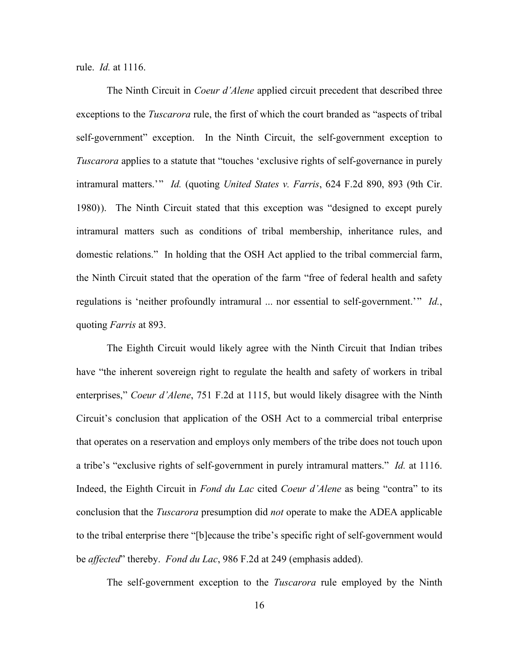rule. *Id.* at 1116.

The Ninth Circuit in *Coeur d'Alene* applied circuit precedent that described three exceptions to the *Tuscarora* rule, the first of which the court branded as "aspects of tribal self-government" exception. In the Ninth Circuit, the self-government exception to *Tuscarora* applies to a statute that "touches 'exclusive rights of self-governance in purely intramural matters.' " *Id.* (quoting *United States v. Farris*, 624 F.2d 890, 893 (9th Cir. 1980) ). The Ninth Circuit stated that this exception was "designed to except purely intramural matters such as conditions of tribal membership, inheritance rules, and domestic relations." In holding that the OSH Act applied to the tribal commercial farm, the Ninth Circuit stated that the operation of the farm "free of federal health and safety regulations is 'neither profoundly intramural ... nor essential to self-government.'" *Id.*, quoting *Farris* at 893.

The Eighth Circuit would likely agree with the Ninth Circuit that Indian tribes have "the inherent sovereign right to regulate the health and safety of workers in tribal enterprises," *Coeur d'Alene*, 751 F.2d at 1115, but would likely disagree with the Ninth Circuit's conclusion that application of the OSH Act to a commercial tribal enterprise that operates on a reservation and employs only members of the tribe does not touch upon a tribe's "exclusive rights of self-government in purely intramural matters." *Id.* at 1116. Indeed, the Eighth Circuit in *Fond du Lac* cited *Coeur d'Alene* as being "contra" to its conclusion that the *Tuscarora* presumption did *not* operate to make the ADEA applicable to the tribal enterprise there "[b]ecause the tribe's specific right of self-government would be *affected*" thereby. *Fond du Lac*, 986 F.2d at 249 (emphasis added).

The self-government exception to the *Tuscarora* rule employed by the Ninth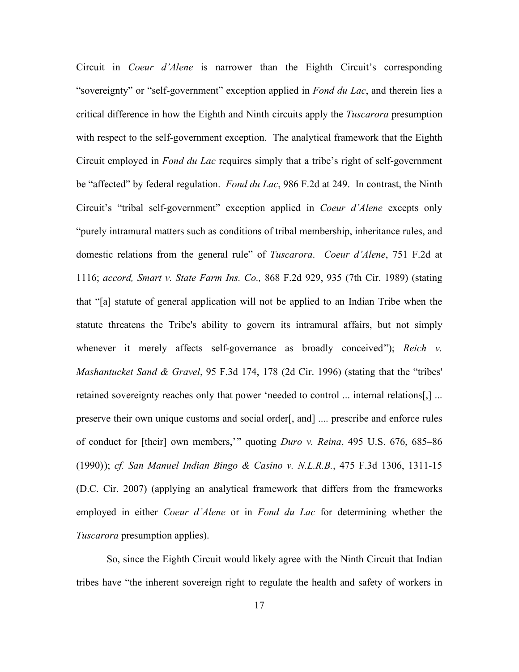Circuit in *Coeur d'Alene* is narrower than the Eighth Circuit's corresponding "sovereignty" or "self-government" exception applied in *Fond du Lac*, and therein lies a critical difference in how the Eighth and Ninth circuits apply the *Tuscarora* presumption with respect to the self-government exception. The analytical framework that the Eighth Circuit employed in *Fond du Lac* requires simply that a tribe's right of self-government be "affected" by federal regulation. *Fond du Lac*, 986 F.2d at 249. In contrast, the Ninth Circuit's "tribal self-government" exception applied in *Coeur d'Alene* excepts only "purely intramural matters such as conditions of tribal membership, inheritance rules, and domestic relations from the general rule" of *Tuscarora*. *Coeur d'Alene*, 751 F.2d at 1116; *accord, Smart v. State Farm Ins. Co.,* 868 F.2d 929, 935 (7th Cir. 1989) (stating that "[a] statute of general application will not be applied to an Indian Tribe when the statute threatens the Tribe's ability to govern its intramural affairs, but not simply whenever it merely affects self-governance as broadly conceived"); *Reich v. Mashantucket Sand & Gravel*, 95 F.3d 174, 178 (2d Cir. 1996) (stating that the "tribes' retained sovereignty reaches only that power 'needed to control ... internal relations[,] ... preserve their own unique customs and social order[, and] .... prescribe and enforce rules of conduct for [their] own members,' " quoting *Duro v. Reina*, 495 U.S. 676, 685–86 (1990) ); *cf. San Manuel Indian Bingo & Casino v. N.L.R.B.*, 475 F.3d 1306, 1311-15 (D.C. Cir. 2007) (applying an analytical framework that differs from the frameworks employed in either *Coeur d'Alene* or in *Fond du Lac* for determining whether the *Tuscarora* presumption applies).

So, since the Eighth Circuit would likely agree with the Ninth Circuit that Indian tribes have "the inherent sovereign right to regulate the health and safety of workers in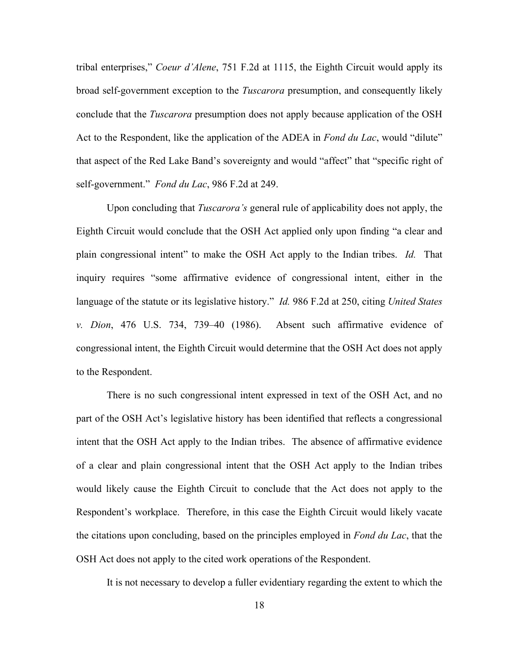tribal enterprises," *Coeur d'Alene*, 751 F.2d at 1115, the Eighth Circuit would apply its broad self-government exception to the *Tuscarora* presumption, and consequently likely conclude that the *Tuscarora* presumption does not apply because application of the OSH Act to the Respondent, like the application of the ADEA in *Fond du Lac*, would "dilute" that aspect of the Red Lake Band's sovereignty and would "affect" that "specific right of self-government." *Fond du Lac*, 986 F.2d at 249.

Upon concluding that *Tuscarora's* general rule of applicability does not apply, the Eighth Circuit would conclude that the OSH Act applied only upon finding "a clear and plain congressional intent" to make the OSH Act apply to the Indian tribes. *Id.* That inquiry requires "some affirmative evidence of congressional intent, either in the language of the statute or its legislative history." *Id.* 986 F.2d at 250, citing *United States v. Dion*, 476 U.S. 734, 739–40 (1986). Absent such affirmative evidence of congressional intent, the Eighth Circuit would determine that the OSH Act does not apply to the Respondent.

There is no such congressional intent expressed in text of the OSH Act, and no part of the OSH Act's legislative history has been identified that reflects a congressional intent that the OSH Act apply to the Indian tribes. The absence of affirmative evidence of a clear and plain congressional intent that the OSH Act apply to the Indian tribes would likely cause the Eighth Circuit to conclude that the Act does not apply to the Respondent's workplace. Therefore, in this case the Eighth Circuit would likely vacate the citations upon concluding, based on the principles employed in *Fond du Lac*, that the OSH Act does not apply to the cited work operations of the Respondent.

It is not necessary to develop a fuller evidentiary regarding the extent to which the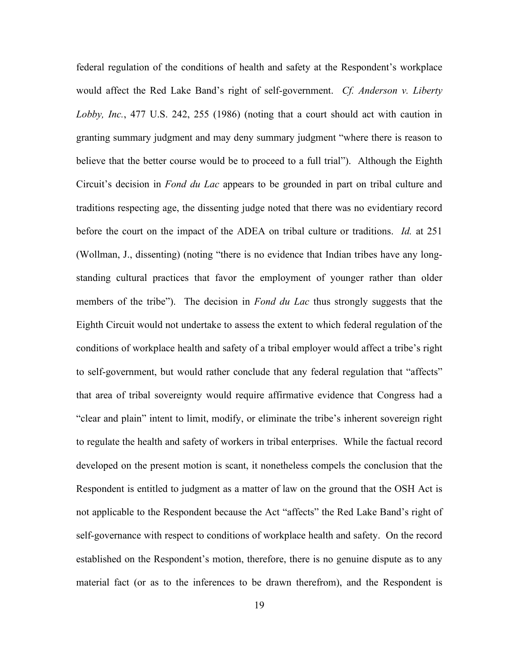federal regulation of the conditions of health and safety at the Respondent's workplace would affect the Red Lake Band's right of self-government. *Cf. Anderson v. Liberty Lobby, Inc.*, 477 U.S. 242, 255 (1986) (noting that a court should act with caution in granting summary judgment and may deny summary judgment "where there is reason to believe that the better course would be to proceed to a full trial"). Although the Eighth Circuit's decision in *Fond du Lac* appears to be grounded in part on tribal culture and traditions respecting age, the dissenting judge noted that there was no evidentiary record before the court on the impact of the ADEA on tribal culture or traditions. *Id.* at 251 (Wollman, J., dissenting) (noting "there is no evidence that Indian tribes have any longstanding cultural practices that favor the employment of younger rather than older members of the tribe"). The decision in *Fond du Lac* thus strongly suggests that the Eighth Circuit would not undertake to assess the extent to which federal regulation of the conditions of workplace health and safety of a tribal employer would affect a tribe's right to self-government, but would rather conclude that any federal regulation that "affects" that area of tribal sovereignty would require affirmative evidence that Congress had a "clear and plain" intent to limit, modify, or eliminate the tribe's inherent sovereign right to regulate the health and safety of workers in tribal enterprises. While the factual record developed on the present motion is scant, it nonetheless compels the conclusion that the Respondent is entitled to judgment as a matter of law on the ground that the OSH Act is not applicable to the Respondent because the Act "affects" the Red Lake Band's right of self-governance with respect to conditions of workplace health and safety. On the record established on the Respondent's motion, therefore, there is no genuine dispute as to any material fact (or as to the inferences to be drawn therefrom), and the Respondent is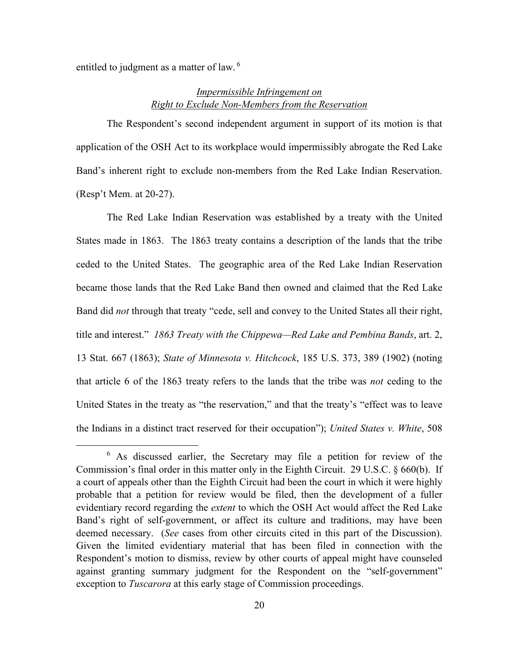entitled to judgment as a matter of law.<sup>[6](#page-19-0)</sup>

# *Impermissible Infringement on Right to Exclude Non-Members from the Reservation*

The Respondent's second independent argument in support of its motion is that application of the OSH Act to its workplace would impermissibly abrogate the Red Lake Band's inherent right to exclude non-members from the Red Lake Indian Reservation. (Resp't Mem. at 20-27).

The Red Lake Indian Reservation was established by a treaty with the United States made in 1863. The 1863 treaty contains a description of the lands that the tribe ceded to the United States. The geographic area of the Red Lake Indian Reservation became those lands that the Red Lake Band then owned and claimed that the Red Lake Band did *not* through that treaty "cede, sell and convey to the United States all their right, title and interest." *1863 Treaty with the Chippewa—Red Lake and Pembina Bands*, art. 2, 13 Stat. 667 (1863); *State of Minnesota v. Hitchcock*, 185 U.S. 373, 389 (1902) (noting that article 6 of the 1863 treaty refers to the lands that the tribe was *not* ceding to the United States in the treaty as "the reservation," and that the treaty's "effect was to leave the Indians in a distinct tract reserved for their occupation"); *United States v. White*, 508

<span id="page-19-0"></span> $6$  As discussed earlier, the Secretary may file a petition for review of the Commission's final order in this matter only in the Eighth Circuit. 29 U.S.C. § 660(b). If a court of appeals other than the Eighth Circuit had been the court in which it were highly probable that a petition for review would be filed, then the development of a fuller evidentiary record regarding the *extent* to which the OSH Act would affect the Red Lake Band's right of self-government, or affect its culture and traditions, may have been deemed necessary. (*See* cases from other circuits cited in this part of the Discussion). Given the limited evidentiary material that has been filed in connection with the Respondent's motion to dismiss, review by other courts of appeal might have counseled against granting summary judgment for the Respondent on the "self-government" exception to *Tuscarora* at this early stage of Commission proceedings.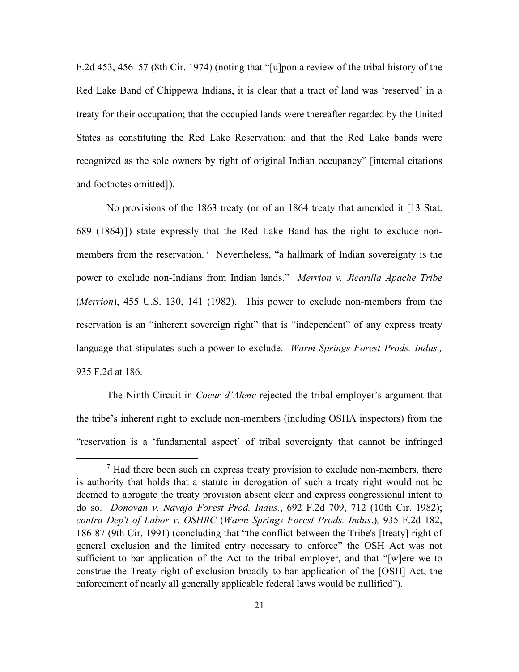F.2d 453, 456–57 (8th Cir. 1974) (noting that "[u]pon a review of the tribal history of the Red Lake Band of Chippewa Indians, it is clear that a tract of land was 'reserved' in a treaty for their occupation; that the occupied lands were thereafter regarded by the United States as constituting the Red Lake Reservation; and that the Red Lake bands were recognized as the sole owners by right of original Indian occupancy" [internal citations and footnotes omitted] ).

No provisions of the 1863 treaty (or of an 1864 treaty that amended it [13 Stat. 689 (1864) ] ) state expressly that the Red Lake Band has the right to exclude non-members from the reservation.<sup>[7](#page-20-0)</sup> Nevertheless, "a hallmark of Indian sovereignty is the power to exclude non-Indians from Indian lands." *Merrion v. Jicarilla Apache Tribe* (*Merrion*), 455 U.S. 130, 141 (1982). This power to exclude non-members from the reservation is an "inherent sovereign right" that is "independent" of any express treaty language that stipulates such a power to exclude. *Warm Springs Forest Prods. Indus.,* 935 F.2d at 186.

The Ninth Circuit in *Coeur d'Alene* rejected the tribal employer's argument that the tribe's inherent right to exclude non-members (including OSHA inspectors) from the "reservation is a 'fundamental aspect' of tribal sovereignty that cannot be infringed

<span id="page-20-0"></span> $<sup>7</sup>$  Had there been such an express treaty provision to exclude non-members, there</sup> is authority that holds that a statute in derogation of such a treaty right would not be deemed to abrogate the treaty provision absent clear and express congressional intent to do so. *Donovan v. Navajo Forest Prod. Indus.*, 692 F.2d 709, 712 (10th Cir. 1982); *contra Dep't of Labor v. OSHRC* (*Warm Springs Forest Prods. Indus*.)*,* 935 F.2d 182, 186-87 (9th Cir. 1991) (concluding that "the conflict between the Tribe's [treaty] right of general exclusion and the limited entry necessary to enforce" the OSH Act was not sufficient to bar application of the Act to the tribal employer, and that "[w]ere we to construe the Treaty right of exclusion broadly to bar application of the [OSH] Act, the enforcement of nearly all generally applicable federal laws would be nullified").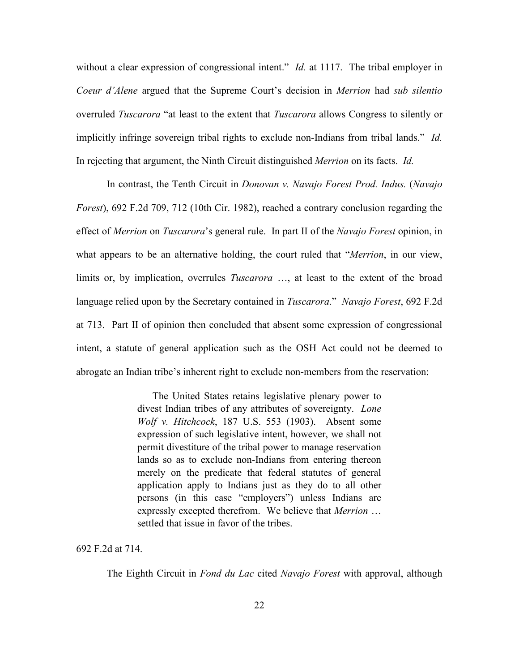without a clear expression of congressional intent." *Id.* at 1117. The tribal employer in *Coeur d'Alene* argued that the Supreme Court's decision in *Merrion* had *sub silentio* overruled *Tuscarora* "at least to the extent that *Tuscarora* allows Congress to silently or implicitly infringe sovereign tribal rights to exclude non-Indians from tribal lands." *Id.* In rejecting that argument, the Ninth Circuit distinguished *Merrion* on its facts. *Id.*

In contrast, the Tenth Circuit in *Donovan v. Navajo Forest Prod. Indus.* (*Navajo Forest*), 692 F.2d 709, 712 (10th Cir. 1982), reached a contrary conclusion regarding the effect of *Merrion* on *Tuscarora*'s general rule. In part II of the *Navajo Forest* opinion, in what appears to be an alternative holding, the court ruled that "*Merrion*, in our view, limits or, by implication, overrules *Tuscarora* …, at least to the extent of the broad language relied upon by the Secretary contained in *Tuscarora*." *Navajo Forest*, 692 F.2d at 713. Part II of opinion then concluded that absent some expression of congressional intent, a statute of general application such as the OSH Act could not be deemed to abrogate an Indian tribe's inherent right to exclude non-members from the reservation:

> The United States retains legislative plenary power to divest Indian tribes of any attributes of sovereignty. *Lone Wolf v. Hitchcock*, 187 U.S. 553 (1903). Absent some expression of such legislative intent, however, we shall not permit divestiture of the tribal power to manage reservation lands so as to exclude non-Indians from entering thereon merely on the predicate that federal statutes of general application apply to Indians just as they do to all other persons (in this case "employers") unless Indians are expressly excepted therefrom. We believe that *Merrion* … settled that issue in favor of the tribes.

692 F.2d at 714.

The Eighth Circuit in *Fond du Lac* cited *Navajo Forest* with approval, although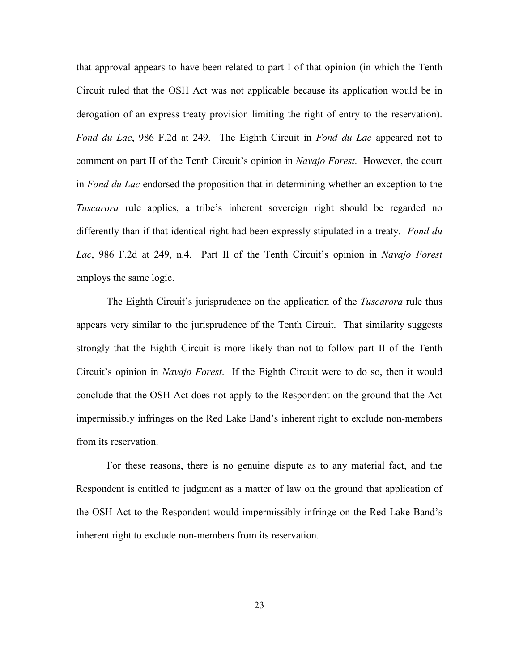that approval appears to have been related to part I of that opinion (in which the Tenth Circuit ruled that the OSH Act was not applicable because its application would be in derogation of an express treaty provision limiting the right of entry to the reservation). *Fond du Lac*, 986 F.2d at 249. The Eighth Circuit in *Fond du Lac* appeared not to comment on part II of the Tenth Circuit's opinion in *Navajo Forest*. However, the court in *Fond du Lac* endorsed the proposition that in determining whether an exception to the *Tuscarora* rule applies, a tribe's inherent sovereign right should be regarded no differently than if that identical right had been expressly stipulated in a treaty. *Fond du Lac*, 986 F.2d at 249, n.4. Part II of the Tenth Circuit's opinion in *Navajo Forest* employs the same logic.

The Eighth Circuit's jurisprudence on the application of the *Tuscarora* rule thus appears very similar to the jurisprudence of the Tenth Circuit. That similarity suggests strongly that the Eighth Circuit is more likely than not to follow part II of the Tenth Circuit's opinion in *Navajo Forest*. If the Eighth Circuit were to do so, then it would conclude that the OSH Act does not apply to the Respondent on the ground that the Act impermissibly infringes on the Red Lake Band's inherent right to exclude non-members from its reservation.

For these reasons, there is no genuine dispute as to any material fact, and the Respondent is entitled to judgment as a matter of law on the ground that application of the OSH Act to the Respondent would impermissibly infringe on the Red Lake Band's inherent right to exclude non-members from its reservation.